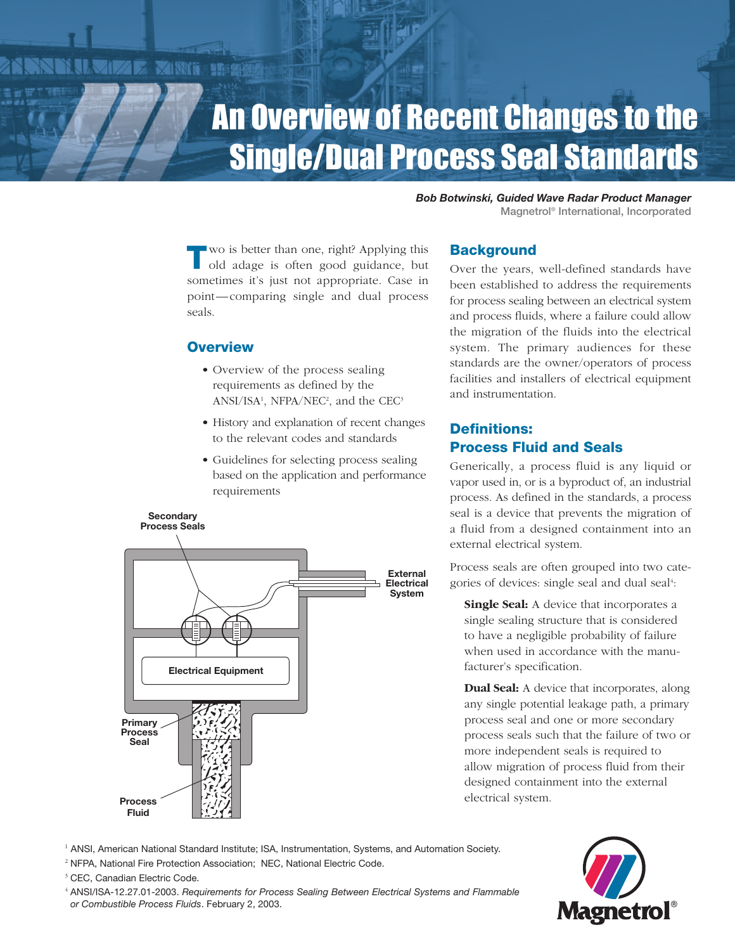# An Overview of Recent Changes to the Single/Dual Process Seal Standards

*Bob Botwinski, Guided Wave Radar Product Manager* Magnetrol ® International, Incorporated

**T**wo is better than one, right? Applying this old adage is often good guidance, but sometimes it's just not appropriate. Case in point—comparing single and dual process seals.

# **Overview**

鹽脂

- Overview of the process sealing requirements as defined by the  $ANSI/ISA<sup>1</sup>$ , NFPA/NEC<sup>2</sup>, and the CEC<sup>3</sup>
- History and explanation of recent changes to the relevant codes and standards
- Guidelines for selecting process sealing based on the application and performance requirements



# **Background**

Over the years, well-defined standards have been established to address the requirements for process sealing between an electrical system and process fluids, where a failure could allow the migration of the fluids into the electrical system. The primary audiences for these standards are the owner/operators of process facilities and installers of electrical equipment and instrumentation.

# **Definitions: Process Fluid and Seals**

Generically, a process fluid is any liquid or vapor used in, or is a byproduct of, an industrial process. As defined in the standards, a process seal is a device that prevents the migration of a fluid from a designed containment into an external electrical system.

Process seals are often grouped into two categories of devices: single seal and dual seal 4 :

**Single Seal:** A device that incorporates a single sealing structure that is considered to have a negligible probability of failure when used in accordance with the manufacturer's specification.

**Dual Seal:** A device that incorporates, along any single potential leakage path, a primary process seal and one or more secondary process seals such that the failure of two or more independent seals is required to allow migration of process fluid from their designed containment into the external electrical system.

- <sup>1</sup> ANSI, American National Standard Institute; ISA, Instrumentation, Systems, and Automation Society.
- <sup>2</sup> NFPA, National Fire Protection Association; NEC, National Electric Code.

<sup>3</sup> CEC, Canadian Electric Code.

<sup>4</sup> ANSI/ISA-12.27.01-2003. *Requirements for Process Sealing Between Electrical Systems and Flammable or Combustible Process Fluids*. February 2, 2003.

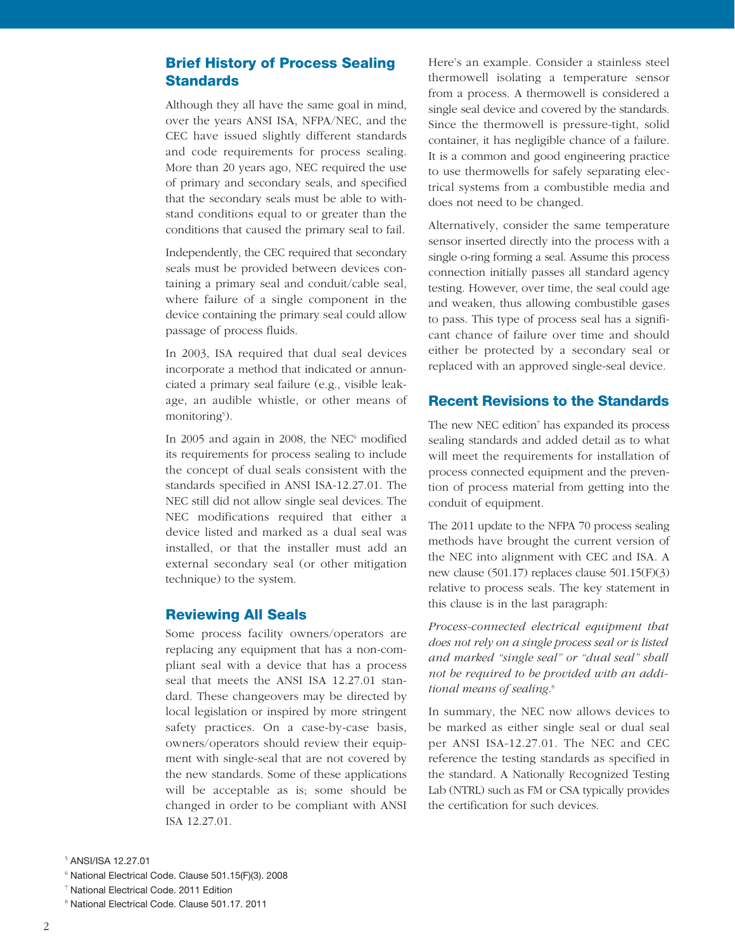# **Brief History of Process Sealing Standards**

Although they all have the same goal in mind, over the years ANSI ISA, NFPA/NEC, and the CEC have issued slightly different standards and code requirements for process sealing. More than 20 years ago, NEC required the use of primary and secondary seals, and specified that the secondary seals must be able to withstand conditions equal to or greater than the conditions that caused the primary seal to fail.

Independently, the CEC required that secondary seals must be provided between devices containing a primary seal and conduit/cable seal, where failure of a single component in the device containing the primary seal could allow passage of process fluids.

In 2003, ISA required that dual seal devices incorporate a method that indicated or annunciated a primary seal failure (e.g., visible leakage, an audible whistle, or other means of monitoring<sup>5</sup>).

In 2005 and again in 2008, the NEC $<sup>6</sup>$  modified</sup> its requirements for process sealing to include the concept of dual seals consistent with the standards specified in ANSI ISA-12.27.01. The NEC still did not allow single seal devices. The NEC modifications required that either a device listed and marked as a dual seal was installed, or that the installer must add an external secondary seal (or other mitigation technique) to the system.

# **Reviewing All Seals**

Some process facility owners/operators are replacing any equipment that has a non-compliant seal with a device that has a process seal that meets the ANSI ISA 12.27.01 standard. These changeovers may be directed by local legislation or inspired by more stringent safety practices. On a case-by-case basis, owners/operators should review their equipment with single-seal that are not covered by the new standards. Some of these applications will be acceptable as is; some should be changed in order to be compliant with ANSI ISA 12.27.01.

Here's an example. Consider a stainless steel thermowell isolating a temperature sensor from a process. A thermowell is considered a single seal device and covered by the standards. Since the thermowell is pressure-tight, solid container, it has negligible chance of a failure. It is a common and good engineering practice to use thermowells for safely separating electrical systems from a combustible media and does not need to be changed.

Alternatively, consider the same temperature sensor inserted directly into the process with a single o-ring forming a seal. Assume this process connection initially passes all standard agency testing. However, over time, the seal could age and weaken, thus allowing combustible gases to pass. This type of process seal has a significant chance of failure over time and should either be protected by a secondary seal or replaced with an approved single-seal device.

#### **Recent Revisions to the Standards**

The new NEC edition<sup>7</sup> has expanded its process sealing standards and added detail as to what will meet the requirements for installation of process connected equipment and the prevention of process material from getting into the conduit of equipment.

The 2011 update to the NFPA 70 process sealing methods have brought the current version of the NEC into alignment with CEC and ISA. A new clause (501.17) replaces clause 501.15(F)(3) relative to process seals. The key statement in this clause is in the last paragraph:

*Process-connected electrical equipment that does not rely on a single process seal or is listed and marked "single seal" or "dual seal" shall not be required to be provided with an additional means of sealing.* 8

In summary, the NEC now allows devices to be marked as either single seal or dual seal per ANSI ISA-12.27.01. The NEC and CEC reference the testing standards as specified in the standard. A Nationally Recognized Testing Lab (NTRL) such as FM or CSA typically provides the certification for such devices.

<sup>5</sup> ANSI/ISA 12.27.01

<sup>6</sup> National Electrical Code. Clause 501.15(F)(3). 2008

<sup>7</sup> National Electrical Code. 2011 Edition

<sup>8</sup> National Electrical Code. Clause 501.17. 2011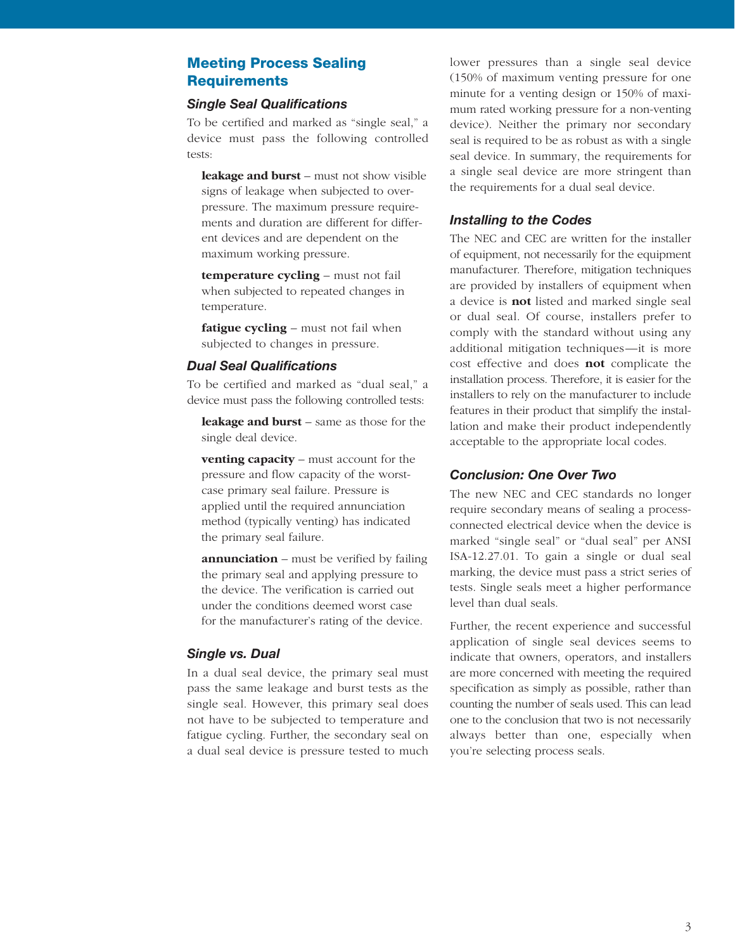# **Meeting Process Sealing Requirements**

#### *Single Seal Qualifications*

To be certified and marked as "single seal," a device must pass the following controlled tests:

**leakage and burst** – must not show visible signs of leakage when subjected to overpressure. The maximum pressure requirements and duration are different for different devices and are dependent on the maximum working pressure.

**temperature cycling** – must not fail when subjected to repeated changes in temperature.

**fatigue cycling** – must not fail when subjected to changes in pressure.

### *Dual Seal Qualifications*

To be certified and marked as "dual seal," a device must pass the following controlled tests:

**leakage and burst** – same as those for the single deal device.

**venting capacity** – must account for the pressure and flow capacity of the worstcase primary seal failure. Pressure is applied until the required annunciation method (typically venting) has indicated the primary seal failure.

**annunciation** – must be verified by failing the primary seal and applying pressure to the device. The verification is carried out under the conditions deemed worst case for the manufacturer's rating of the device.

# *Single vs. Dual*

In a dual seal device, the primary seal must pass the same leakage and burst tests as the single seal. However, this primary seal does not have to be subjected to temperature and fatigue cycling. Further, the secondary seal on a dual seal device is pressure tested to much

lower pressures than a single seal device (150% of maximum venting pressure for one minute for a venting design or 150% of maximum rated working pressure for a non-venting device). Neither the primary nor secondary seal is required to be as robust as with a single seal device. In summary, the requirements for a single seal device are more stringent than the requirements for a dual seal device.

#### *Installing to the Codes*

The NEC and CEC are written for the installer of equipment, not necessarily for the equipment manufacturer. Therefore, mitigation techniques are provided by installers of equipment when a device is **not** listed and marked single seal or dual seal. Of course, installers prefer to comply with the standard without using any additional mitigation techniques—it is more cost effective and does **not** complicate the installation process. Therefore, it is easier for the installers to rely on the manufacturer to include features in their product that simplify the installation and make their product independently acceptable to the appropriate local codes.

# *Conclusion: One Over Two*

The new NEC and CEC standards no longer require secondary means of sealing a processconnected electrical device when the device is marked "single seal" or "dual seal" per ANSI ISA-12.27.01. To gain a single or dual seal marking, the device must pass a strict series of tests. Single seals meet a higher performance level than dual seals.

Further, the recent experience and successful application of single seal devices seems to indicate that owners, operators, and installers are more concerned with meeting the required specification as simply as possible, rather than counting the number of seals used. This can lead one to the conclusion that two is not necessarily always better than one, especially when you're selecting process seals.